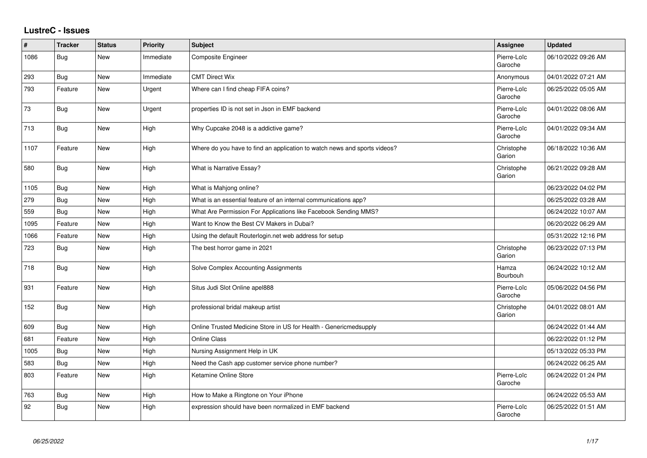## **LustreC - Issues**

| #    | <b>Tracker</b> | <b>Status</b> | <b>Priority</b> | <b>Subject</b>                                                            | <b>Assignee</b>        | <b>Updated</b>      |
|------|----------------|---------------|-----------------|---------------------------------------------------------------------------|------------------------|---------------------|
| 1086 | <b>Bug</b>     | <b>New</b>    | Immediate       | Composite Engineer                                                        | Pierre-Loïc<br>Garoche | 06/10/2022 09:26 AM |
| 293  | <b>Bug</b>     | New           | Immediate       | <b>CMT Direct Wix</b>                                                     | Anonymous              | 04/01/2022 07:21 AM |
| 793  | Feature        | <b>New</b>    | Urgent          | Where can I find cheap FIFA coins?                                        | Pierre-Loïc<br>Garoche | 06/25/2022 05:05 AM |
| 73   | <b>Bug</b>     | New           | Urgent          | properties ID is not set in Json in EMF backend                           | Pierre-Loïc<br>Garoche | 04/01/2022 08:06 AM |
| 713  | <b>Bug</b>     | New           | High            | Why Cupcake 2048 is a addictive game?                                     | Pierre-Loïc<br>Garoche | 04/01/2022 09:34 AM |
| 1107 | Feature        | New           | High            | Where do you have to find an application to watch news and sports videos? | Christophe<br>Garion   | 06/18/2022 10:36 AM |
| 580  | <b>Bug</b>     | New           | High            | What is Narrative Essay?                                                  | Christophe<br>Garion   | 06/21/2022 09:28 AM |
| 1105 | <b>Bug</b>     | New           | High            | What is Mahjong online?                                                   |                        | 06/23/2022 04:02 PM |
| 279  | <b>Bug</b>     | <b>New</b>    | High            | What is an essential feature of an internal communications app?           |                        | 06/25/2022 03:28 AM |
| 559  | <b>Bug</b>     | New           | High            | What Are Permission For Applications like Facebook Sending MMS?           |                        | 06/24/2022 10:07 AM |
| 1095 | Feature        | New           | High            | Want to Know the Best CV Makers in Dubai?                                 |                        | 06/20/2022 06:29 AM |
| 1066 | Feature        | New           | High            | Using the default Routerlogin.net web address for setup                   |                        | 05/31/2022 12:16 PM |
| 723  | <b>Bug</b>     | New           | High            | The best horror game in 2021                                              | Christophe<br>Garion   | 06/23/2022 07:13 PM |
| 718  | <b>Bug</b>     | <b>New</b>    | High            | Solve Complex Accounting Assignments                                      | Hamza<br>Bourbouh      | 06/24/2022 10:12 AM |
| 931  | Feature        | New           | High            | Situs Judi Slot Online apel888                                            | Pierre-Loïc<br>Garoche | 05/06/2022 04:56 PM |
| 152  | <b>Bug</b>     | New           | High            | professional bridal makeup artist                                         | Christophe<br>Garion   | 04/01/2022 08:01 AM |
| 609  | <b>Bug</b>     | New           | High            | Online Trusted Medicine Store in US for Health - Genericmedsupply         |                        | 06/24/2022 01:44 AM |
| 681  | Feature        | New           | High            | <b>Online Class</b>                                                       |                        | 06/22/2022 01:12 PM |
| 1005 | <b>Bug</b>     | New           | High            | Nursing Assignment Help in UK                                             |                        | 05/13/2022 05:33 PM |
| 583  | <b>Bug</b>     | <b>New</b>    | High            | Need the Cash app customer service phone number?                          |                        | 06/24/2022 06:25 AM |
| 803  | Feature        | New           | High            | Ketamine Online Store                                                     | Pierre-Loïc<br>Garoche | 06/24/2022 01:24 PM |
| 763  | <b>Bug</b>     | <b>New</b>    | High            | How to Make a Ringtone on Your iPhone                                     |                        | 06/24/2022 05:53 AM |
| 92   | <b>Bug</b>     | New           | High            | expression should have been normalized in EMF backend                     | Pierre-Loïc<br>Garoche | 06/25/2022 01:51 AM |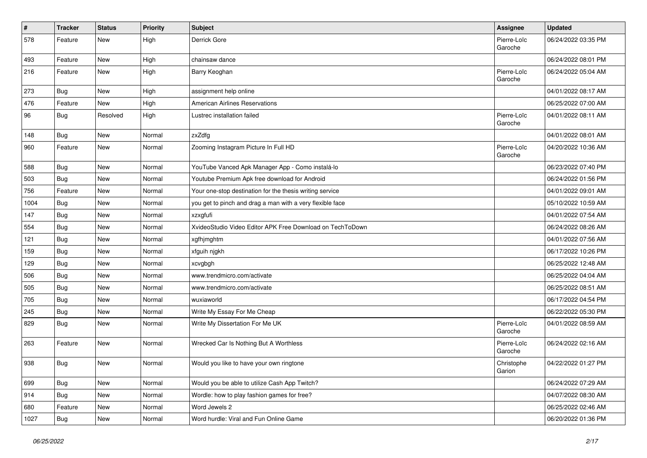| $\vert$ # | <b>Tracker</b> | <b>Status</b> | Priority | Subject                                                   | <b>Assignee</b>        | <b>Updated</b>      |
|-----------|----------------|---------------|----------|-----------------------------------------------------------|------------------------|---------------------|
| 578       | Feature        | New           | High     | Derrick Gore                                              | Pierre-Loïc<br>Garoche | 06/24/2022 03:35 PM |
| 493       | Feature        | New           | High     | chainsaw dance                                            |                        | 06/24/2022 08:01 PM |
| 216       | Feature        | New           | High     | Barry Keoghan                                             | Pierre-Loïc<br>Garoche | 06/24/2022 05:04 AM |
| 273       | <b>Bug</b>     | New           | High     | assignment help online                                    |                        | 04/01/2022 08:17 AM |
| 476       | Feature        | New           | High     | <b>American Airlines Reservations</b>                     |                        | 06/25/2022 07:00 AM |
| 96        | <b>Bug</b>     | Resolved      | High     | Lustrec installation failed                               | Pierre-Loïc<br>Garoche | 04/01/2022 08:11 AM |
| 148       | <b>Bug</b>     | New           | Normal   | zxZdfg                                                    |                        | 04/01/2022 08:01 AM |
| 960       | Feature        | New           | Normal   | Zooming Instagram Picture In Full HD                      | Pierre-Loïc<br>Garoche | 04/20/2022 10:36 AM |
| 588       | Bug            | New           | Normal   | YouTube Vanced Apk Manager App - Como instalá-lo          |                        | 06/23/2022 07:40 PM |
| 503       | <b>Bug</b>     | New           | Normal   | Youtube Premium Apk free download for Android             |                        | 06/24/2022 01:56 PM |
| 756       | Feature        | New           | Normal   | Your one-stop destination for the thesis writing service  |                        | 04/01/2022 09:01 AM |
| 1004      | Bug            | New           | Normal   | you get to pinch and drag a man with a very flexible face |                        | 05/10/2022 10:59 AM |
| 147       | <b>Bug</b>     | New           | Normal   | xzxgfufi                                                  |                        | 04/01/2022 07:54 AM |
| 554       | Bug            | New           | Normal   | XvideoStudio Video Editor APK Free Download on TechToDown |                        | 06/24/2022 08:26 AM |
| 121       | Bug            | New           | Normal   | xgfhjmghtm                                                |                        | 04/01/2022 07:56 AM |
| 159       | <b>Bug</b>     | New           | Normal   | xfguih njgkh                                              |                        | 06/17/2022 10:26 PM |
| 129       | Bug            | New           | Normal   | xcvgbgh                                                   |                        | 06/25/2022 12:48 AM |
| 506       | <b>Bug</b>     | New           | Normal   | www.trendmicro.com/activate                               |                        | 06/25/2022 04:04 AM |
| 505       | <b>Bug</b>     | New           | Normal   | www.trendmicro.com/activate                               |                        | 06/25/2022 08:51 AM |
| 705       | <b>Bug</b>     | New           | Normal   | wuxiaworld                                                |                        | 06/17/2022 04:54 PM |
| 245       | <b>Bug</b>     | New           | Normal   | Write My Essay For Me Cheap                               |                        | 06/22/2022 05:30 PM |
| 829       | <b>Bug</b>     | New           | Normal   | Write My Dissertation For Me UK                           | Pierre-Loïc<br>Garoche | 04/01/2022 08:59 AM |
| 263       | Feature        | New           | Normal   | Wrecked Car Is Nothing But A Worthless                    | Pierre-Loïc<br>Garoche | 06/24/2022 02:16 AM |
| 938       | Bug            | New           | Normal   | Would you like to have your own ringtone                  | Christophe<br>Garion   | 04/22/2022 01:27 PM |
| 699       | <b>Bug</b>     | New           | Normal   | Would you be able to utilize Cash App Twitch?             |                        | 06/24/2022 07:29 AM |
| 914       | <b>Bug</b>     | New           | Normal   | Wordle: how to play fashion games for free?               |                        | 04/07/2022 08:30 AM |
| 680       | Feature        | New           | Normal   | Word Jewels 2                                             |                        | 06/25/2022 02:46 AM |
| 1027      | Bug            | New           | Normal   | Word hurdle: Viral and Fun Online Game                    |                        | 06/20/2022 01:36 PM |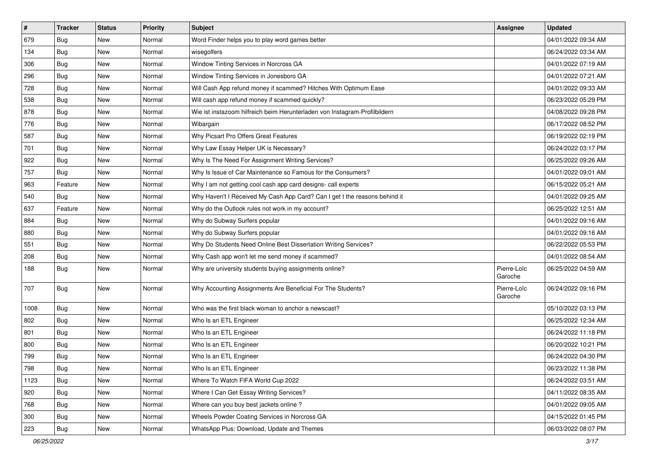| $\sharp$ | <b>Tracker</b> | <b>Status</b> | <b>Priority</b> | Subject                                                                    | <b>Assignee</b>        | <b>Updated</b>      |
|----------|----------------|---------------|-----------------|----------------------------------------------------------------------------|------------------------|---------------------|
| 679      | Bug            | New           | Normal          | Word Finder helps you to play word games better                            |                        | 04/01/2022 09:34 AM |
| 134      | <b>Bug</b>     | <b>New</b>    | Normal          | wisegolfers                                                                |                        | 06/24/2022 03:34 AM |
| 306      | Bug            | New           | Normal          | Window Tinting Services in Norcross GA                                     |                        | 04/01/2022 07:19 AM |
| 296      | Bug            | New           | Normal          | Window Tinting Services in Jonesboro GA                                    |                        | 04/01/2022 07:21 AM |
| 728      | <b>Bug</b>     | New           | Normal          | Will Cash App refund money if scammed? Hitches With Optimum Ease           |                        | 04/01/2022 09:33 AM |
| 538      | <b>Bug</b>     | New           | Normal          | Will cash app refund money if scammed quickly?                             |                        | 06/23/2022 05:29 PM |
| 878      | <b>Bug</b>     | New           | Normal          | Wie ist instazoom hilfreich beim Herunterladen von Instagram-Profilbildern |                        | 04/08/2022 09:28 PM |
| 776      | Bug            | New           | Normal          | Wibargain                                                                  |                        | 06/17/2022 08:52 PM |
| 587      | <b>Bug</b>     | New           | Normal          | Why Picsart Pro Offers Great Features                                      |                        | 06/19/2022 02:19 PM |
| 701      | <b>Bug</b>     | <b>New</b>    | Normal          | Why Law Essay Helper UK is Necessary?                                      |                        | 06/24/2022 03:17 PM |
| 922      | <b>Bug</b>     | New           | Normal          | Why Is The Need For Assignment Writing Services?                           |                        | 06/25/2022 09:26 AM |
| 757      | Bug            | <b>New</b>    | Normal          | Why Is Issue of Car Maintenance so Famous for the Consumers?               |                        | 04/01/2022 09:01 AM |
| 963      | Feature        | New           | Normal          | Why I am not getting cool cash app card designs- call experts              |                        | 06/15/2022 05:21 AM |
| 540      | Bug            | New           | Normal          | Why Haven't I Received My Cash App Card? Can I get t the reasons behind it |                        | 04/01/2022 09:25 AM |
| 637      | Feature        | <b>New</b>    | Normal          | Why do the Outlook rules not work in my account?                           |                        | 06/25/2022 12:51 AM |
| 884      | Bug            | New           | Normal          | Why do Subway Surfers popular                                              |                        | 04/01/2022 09:16 AM |
| 880      | <b>Bug</b>     | New           | Normal          | Why do Subway Surfers popular                                              |                        | 04/01/2022 09:16 AM |
| 551      | <b>Bug</b>     | New           | Normal          | Why Do Students Need Online Best Dissertation Writing Services?            |                        | 06/22/2022 05:53 PM |
| 208      | <b>Bug</b>     | New           | Normal          | Why Cash app won't let me send money if scammed?                           |                        | 04/01/2022 08:54 AM |
| 188      | Bug            | <b>New</b>    | Normal          | Why are university students buying assignments online?                     | Pierre-Loïc<br>Garoche | 06/25/2022 04:59 AM |
| 707      | Bug            | New           | Normal          | Why Accounting Assignments Are Beneficial For The Students?                | Pierre-Loïc<br>Garoche | 06/24/2022 09:16 PM |
| 1008     | Bug            | New           | Normal          | Who was the first black woman to anchor a newscast?                        |                        | 05/10/2022 03:13 PM |
| 802      | <b>Bug</b>     | New           | Normal          | Who Is an ETL Engineer                                                     |                        | 06/25/2022 12:34 AM |
| 801      | <b>Bug</b>     | New           | Normal          | Who Is an ETL Engineer                                                     |                        | 06/24/2022 11:18 PM |
| 800      | <b>Bug</b>     | New           | Normal          | Who Is an ETL Engineer                                                     |                        | 06/20/2022 10:21 PM |
| 799      | <b>Bug</b>     | <b>New</b>    | Normal          | Who Is an ETL Engineer                                                     |                        | 06/24/2022 04:30 PM |
| 798      | Bug            | New           | Normal          | Who Is an ETL Engineer                                                     |                        | 06/23/2022 11:38 PM |
| 1123     | Bug            | <b>New</b>    | Normal          | Where To Watch FIFA World Cup 2022                                         |                        | 06/24/2022 03:51 AM |
| 920      | Bug            | New           | Normal          | Where I Can Get Essay Writing Services?                                    |                        | 04/11/2022 08:35 AM |
| 768      | Bug            | New           | Normal          | Where can you buy best jackets online?                                     |                        | 04/01/2022 09:05 AM |
| 300      | <b>Bug</b>     | New           | Normal          | Wheels Powder Coating Services in Norcross GA                              |                        | 04/15/2022 01:45 PM |
| 223      | <b>Bug</b>     | New           | Normal          | WhatsApp Plus: Download, Update and Themes                                 |                        | 06/03/2022 08:07 PM |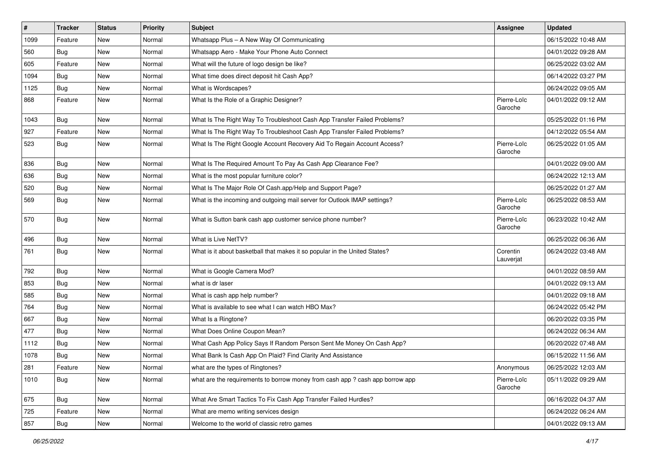| #    | <b>Tracker</b> | <b>Status</b> | <b>Priority</b> | <b>Subject</b>                                                                | <b>Assignee</b>        | <b>Updated</b>      |
|------|----------------|---------------|-----------------|-------------------------------------------------------------------------------|------------------------|---------------------|
| 1099 | Feature        | New           | Normal          | Whatsapp Plus - A New Way Of Communicating                                    |                        | 06/15/2022 10:48 AM |
| 560  | <b>Bug</b>     | New           | Normal          | Whatsapp Aero - Make Your Phone Auto Connect                                  |                        | 04/01/2022 09:28 AM |
| 605  | Feature        | New           | Normal          | What will the future of logo design be like?                                  |                        | 06/25/2022 03:02 AM |
| 1094 | Bug            | New           | Normal          | What time does direct deposit hit Cash App?                                   |                        | 06/14/2022 03:27 PM |
| 1125 | <b>Bug</b>     | New           | Normal          | What is Wordscapes?                                                           |                        | 06/24/2022 09:05 AM |
| 868  | Feature        | New           | Normal          | What Is the Role of a Graphic Designer?                                       | Pierre-Loïc<br>Garoche | 04/01/2022 09:12 AM |
| 1043 | <b>Bug</b>     | New           | Normal          | What Is The Right Way To Troubleshoot Cash App Transfer Failed Problems?      |                        | 05/25/2022 01:16 PM |
| 927  | Feature        | New           | Normal          | What Is The Right Way To Troubleshoot Cash App Transfer Failed Problems?      |                        | 04/12/2022 05:54 AM |
| 523  | <b>Bug</b>     | New           | Normal          | What Is The Right Google Account Recovery Aid To Regain Account Access?       | Pierre-Loïc<br>Garoche | 06/25/2022 01:05 AM |
| 836  | <b>Bug</b>     | New           | Normal          | What Is The Required Amount To Pay As Cash App Clearance Fee?                 |                        | 04/01/2022 09:00 AM |
| 636  | Bug            | New           | Normal          | What is the most popular furniture color?                                     |                        | 06/24/2022 12:13 AM |
| 520  | Bug            | New           | Normal          | What Is The Major Role Of Cash.app/Help and Support Page?                     |                        | 06/25/2022 01:27 AM |
| 569  | <b>Bug</b>     | New           | Normal          | What is the incoming and outgoing mail server for Outlook IMAP settings?      | Pierre-Loïc<br>Garoche | 06/25/2022 08:53 AM |
| 570  | Bug            | New           | Normal          | What is Sutton bank cash app customer service phone number?                   | Pierre-Loïc<br>Garoche | 06/23/2022 10:42 AM |
| 496  | <b>Bug</b>     | New           | Normal          | What is Live NetTV?                                                           |                        | 06/25/2022 06:36 AM |
| 761  | Bug            | New           | Normal          | What is it about basketball that makes it so popular in the United States?    | Corentin<br>Lauverjat  | 06/24/2022 03:48 AM |
| 792  | <b>Bug</b>     | New           | Normal          | What is Google Camera Mod?                                                    |                        | 04/01/2022 08:59 AM |
| 853  | Bug            | New           | Normal          | what is dr laser                                                              |                        | 04/01/2022 09:13 AM |
| 585  | Bug            | New           | Normal          | What is cash app help number?                                                 |                        | 04/01/2022 09:18 AM |
| 764  | Bug            | New           | Normal          | What is available to see what I can watch HBO Max?                            |                        | 06/24/2022 05:42 PM |
| 667  | <b>Bug</b>     | <b>New</b>    | Normal          | What Is a Ringtone?                                                           |                        | 06/20/2022 03:35 PM |
| 477  | Bug            | New           | Normal          | What Does Online Coupon Mean?                                                 |                        | 06/24/2022 06:34 AM |
| 1112 | Bug            | New           | Normal          | What Cash App Policy Says If Random Person Sent Me Money On Cash App?         |                        | 06/20/2022 07:48 AM |
| 1078 | <b>Bug</b>     | New           | Normal          | What Bank Is Cash App On Plaid? Find Clarity And Assistance                   |                        | 06/15/2022 11:56 AM |
| 281  | Feature        | New           | Normal          | what are the types of Ringtones?                                              | Anonymous              | 06/25/2022 12:03 AM |
| 1010 | <b>Bug</b>     | New           | Normal          | what are the requirements to borrow money from cash app ? cash app borrow app | Pierre-Loïc<br>Garoche | 05/11/2022 09:29 AM |
| 675  | <b>Bug</b>     | New           | Normal          | What Are Smart Tactics To Fix Cash App Transfer Failed Hurdles?               |                        | 06/16/2022 04:37 AM |
| 725  | Feature        | New           | Normal          | What are memo writing services design                                         |                        | 06/24/2022 06:24 AM |
| 857  | Bug            | New           | Normal          | Welcome to the world of classic retro games                                   |                        | 04/01/2022 09:13 AM |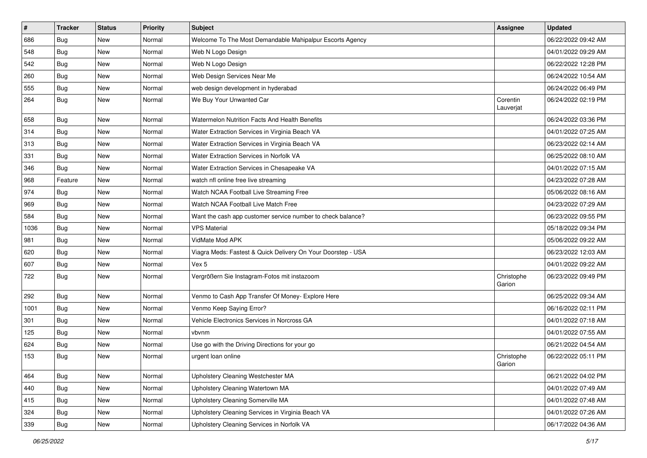| #    | <b>Tracker</b> | <b>Status</b> | Priority | <b>Subject</b>                                               | <b>Assignee</b>       | <b>Updated</b>      |
|------|----------------|---------------|----------|--------------------------------------------------------------|-----------------------|---------------------|
| 686  | Bug            | New           | Normal   | Welcome To The Most Demandable Mahipalpur Escorts Agency     |                       | 06/22/2022 09:42 AM |
| 548  | Bug            | New           | Normal   | Web N Logo Design                                            |                       | 04/01/2022 09:29 AM |
| 542  | Bug            | New           | Normal   | Web N Logo Design                                            |                       | 06/22/2022 12:28 PM |
| 260  | <b>Bug</b>     | New           | Normal   | Web Design Services Near Me                                  |                       | 06/24/2022 10:54 AM |
| 555  | Bug            | New           | Normal   | web design development in hyderabad                          |                       | 06/24/2022 06:49 PM |
| 264  | <b>Bug</b>     | New           | Normal   | We Buy Your Unwanted Car                                     | Corentin<br>Lauverjat | 06/24/2022 02:19 PM |
| 658  | Bug            | New           | Normal   | Watermelon Nutrition Facts And Health Benefits               |                       | 06/24/2022 03:36 PM |
| 314  | Bug            | New           | Normal   | Water Extraction Services in Virginia Beach VA               |                       | 04/01/2022 07:25 AM |
| 313  | Bug            | <b>New</b>    | Normal   | Water Extraction Services in Virginia Beach VA               |                       | 06/23/2022 02:14 AM |
| 331  | Bug            | New           | Normal   | Water Extraction Services in Norfolk VA                      |                       | 06/25/2022 08:10 AM |
| 346  | Bug            | <b>New</b>    | Normal   | Water Extraction Services in Chesapeake VA                   |                       | 04/01/2022 07:15 AM |
| 968  | Feature        | New           | Normal   | watch nfl online free live streaming                         |                       | 04/23/2022 07:28 AM |
| 974  | Bug            | New           | Normal   | Watch NCAA Football Live Streaming Free                      |                       | 05/06/2022 08:16 AM |
| 969  | <b>Bug</b>     | New           | Normal   | Watch NCAA Football Live Match Free                          |                       | 04/23/2022 07:29 AM |
| 584  | <b>Bug</b>     | New           | Normal   | Want the cash app customer service number to check balance?  |                       | 06/23/2022 09:55 PM |
| 1036 | Bug            | New           | Normal   | <b>VPS Material</b>                                          |                       | 05/18/2022 09:34 PM |
| 981  | Bug            | New           | Normal   | VidMate Mod APK                                              |                       | 05/06/2022 09:22 AM |
| 620  | <b>Bug</b>     | New           | Normal   | Viagra Meds: Fastest & Quick Delivery On Your Doorstep - USA |                       | 06/23/2022 12:03 AM |
| 607  | Bug            | New           | Normal   | Vex 5                                                        |                       | 04/01/2022 09:22 AM |
| 722  | Bug            | <b>New</b>    | Normal   | Vergrößern Sie Instagram-Fotos mit instazoom                 | Christophe<br>Garion  | 06/23/2022 09:49 PM |
| 292  | Bug            | New           | Normal   | Venmo to Cash App Transfer Of Money- Explore Here            |                       | 06/25/2022 09:34 AM |
| 1001 | <b>Bug</b>     | New           | Normal   | Venmo Keep Saying Error?                                     |                       | 06/16/2022 02:11 PM |
| 301  | <b>Bug</b>     | New           | Normal   | Vehicle Electronics Services in Norcross GA                  |                       | 04/01/2022 07:18 AM |
| 125  | Bug            | New           | Normal   | vbvnm                                                        |                       | 04/01/2022 07:55 AM |
| 624  | <b>Bug</b>     | New           | Normal   | Use go with the Driving Directions for your go               |                       | 06/21/2022 04:54 AM |
| 153  | <b>Bug</b>     | New           | Normal   | urgent loan online                                           | Christophe<br>Garion  | 06/22/2022 05:11 PM |
| 464  | <b>Bug</b>     | New           | Normal   | Upholstery Cleaning Westchester MA                           |                       | 06/21/2022 04:02 PM |
| 440  | <b>Bug</b>     | New           | Normal   | Upholstery Cleaning Watertown MA                             |                       | 04/01/2022 07:49 AM |
| 415  | Bug            | New           | Normal   | Upholstery Cleaning Somerville MA                            |                       | 04/01/2022 07:48 AM |
| 324  | <b>Bug</b>     | New           | Normal   | Upholstery Cleaning Services in Virginia Beach VA            |                       | 04/01/2022 07:26 AM |
| 339  | <b>Bug</b>     | New           | Normal   | Upholstery Cleaning Services in Norfolk VA                   |                       | 06/17/2022 04:36 AM |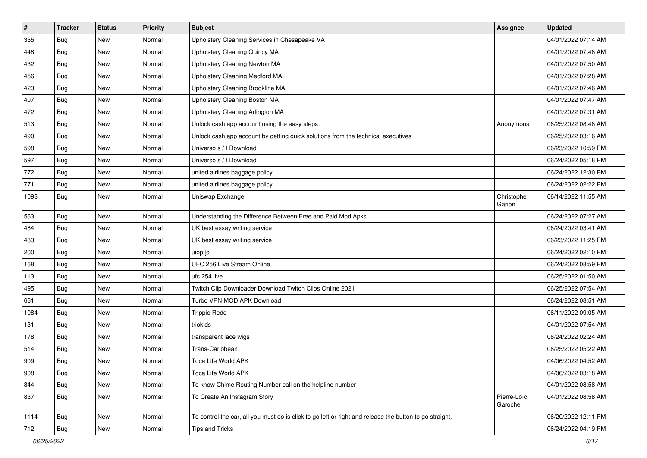| $\vert$ # | <b>Tracker</b> | <b>Status</b> | Priority | <b>Subject</b>                                                                                          | <b>Assignee</b>        | <b>Updated</b>      |
|-----------|----------------|---------------|----------|---------------------------------------------------------------------------------------------------------|------------------------|---------------------|
| 355       | Bug            | New           | Normal   | Upholstery Cleaning Services in Chesapeake VA                                                           |                        | 04/01/2022 07:14 AM |
| 448       | <b>Bug</b>     | New           | Normal   | Upholstery Cleaning Quincy MA                                                                           |                        | 04/01/2022 07:48 AM |
| 432       | Bug            | New           | Normal   | Upholstery Cleaning Newton MA                                                                           |                        | 04/01/2022 07:50 AM |
| 456       | Bug            | New           | Normal   | Upholstery Cleaning Medford MA                                                                          |                        | 04/01/2022 07:28 AM |
| 423       | <b>Bug</b>     | New           | Normal   | Upholstery Cleaning Brookline MA                                                                        |                        | 04/01/2022 07:46 AM |
| 407       | Bug            | New           | Normal   | Upholstery Cleaning Boston MA                                                                           |                        | 04/01/2022 07:47 AM |
| 472       | Bug            | New           | Normal   | Upholstery Cleaning Arlington MA                                                                        |                        | 04/01/2022 07:31 AM |
| 513       | Bug            | New           | Normal   | Unlock cash app account using the easy steps:                                                           | Anonymous              | 06/25/2022 08:48 AM |
| 490       | <b>Bug</b>     | New           | Normal   | Unlock cash app account by getting quick solutions from the technical executives                        |                        | 06/25/2022 03:16 AM |
| 598       | Bug            | New           | Normal   | Universo s / f Download                                                                                 |                        | 06/23/2022 10:59 PM |
| 597       | <b>Bug</b>     | New           | Normal   | Universo s / f Download                                                                                 |                        | 06/24/2022 05:18 PM |
| 772       | Bug            | New           | Normal   | united airlines baggage policy                                                                          |                        | 06/24/2022 12:30 PM |
| 771       | Bug            | New           | Normal   | united airlines baggage policy                                                                          |                        | 06/24/2022 02:22 PM |
| 1093      | <b>Bug</b>     | New           | Normal   | Uniswap Exchange                                                                                        | Christophe<br>Garion   | 06/14/2022 11:55 AM |
| 563       | <b>Bug</b>     | New           | Normal   | Understanding the Difference Between Free and Paid Mod Apks                                             |                        | 06/24/2022 07:27 AM |
| 484       | <b>Bug</b>     | New           | Normal   | UK best essay writing service                                                                           |                        | 06/24/2022 03:41 AM |
| 483       | Bug            | New           | Normal   | UK best essay writing service                                                                           |                        | 06/23/2022 11:25 PM |
| 200       | <b>Bug</b>     | New           | Normal   | uiopi[o                                                                                                 |                        | 06/24/2022 02:10 PM |
| 168       | <b>Bug</b>     | New           | Normal   | UFC 256 Live Stream Online                                                                              |                        | 06/24/2022 08:59 PM |
| 113       | Bug            | <b>New</b>    | Normal   | ufc 254 live                                                                                            |                        | 06/25/2022 01:50 AM |
| 495       | <b>Bug</b>     | New           | Normal   | Twitch Clip Downloader Download Twitch Clips Online 2021                                                |                        | 06/25/2022 07:54 AM |
| 661       | <b>Bug</b>     | New           | Normal   | Turbo VPN MOD APK Download                                                                              |                        | 06/24/2022 08:51 AM |
| 1084      | <b>Bug</b>     | New           | Normal   | <b>Trippie Redd</b>                                                                                     |                        | 06/11/2022 09:05 AM |
| 131       | <b>Bug</b>     | New           | Normal   | triokids                                                                                                |                        | 04/01/2022 07:54 AM |
| 178       | <b>Bug</b>     | New           | Normal   | transparent lace wigs                                                                                   |                        | 06/24/2022 02:24 AM |
| 514       | Bug            | New           | Normal   | Trans-Caribbean                                                                                         |                        | 06/25/2022 05:22 AM |
| 909       | <b>Bug</b>     | New           | Normal   | Toca Life World APK                                                                                     |                        | 04/06/2022 04:52 AM |
| 908       | <b>Bug</b>     | New           | Normal   | Toca Life World APK                                                                                     |                        | 04/06/2022 03:18 AM |
| 844       | <b>Bug</b>     | New           | Normal   | To know Chime Routing Number call on the helpline number                                                |                        | 04/01/2022 08:58 AM |
| 837       | <b>Bug</b>     | New           | Normal   | To Create An Instagram Story                                                                            | Pierre-Loïc<br>Garoche | 04/01/2022 08:58 AM |
| 1114      | <b>Bug</b>     | New           | Normal   | To control the car, all you must do is click to go left or right and release the button to go straight. |                        | 06/20/2022 12:11 PM |
| 712       | <b>Bug</b>     | New           | Normal   | Tips and Tricks                                                                                         |                        | 06/24/2022 04:19 PM |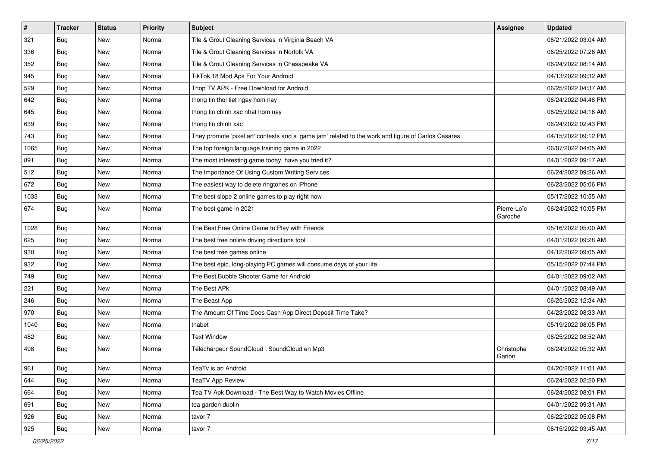| $\sharp$ | <b>Tracker</b> | <b>Status</b> | <b>Priority</b> | <b>Subject</b>                                                                                      | Assignee               | <b>Updated</b>      |
|----------|----------------|---------------|-----------------|-----------------------------------------------------------------------------------------------------|------------------------|---------------------|
| 321      | <b>Bug</b>     | New           | Normal          | Tile & Grout Cleaning Services in Virginia Beach VA                                                 |                        | 06/21/2022 03:04 AM |
| 336      | <b>Bug</b>     | <b>New</b>    | Normal          | Tile & Grout Cleaning Services in Norfolk VA                                                        |                        | 06/25/2022 07:26 AM |
| 352      | Bug            | New           | Normal          | Tile & Grout Cleaning Services in Chesapeake VA                                                     |                        | 06/24/2022 08:14 AM |
| 945      | Bug            | New           | Normal          | TikTok 18 Mod Apk For Your Android                                                                  |                        | 04/13/2022 09:32 AM |
| 529      | <b>Bug</b>     | <b>New</b>    | Normal          | Thop TV APK - Free Download for Android                                                             |                        | 06/25/2022 04:37 AM |
| 642      | <b>Bug</b>     | New           | Normal          | thong tin thoi tiet ngay hom nay                                                                    |                        | 06/24/2022 04:48 PM |
| 645      | <b>Bug</b>     | New           | Normal          | thong tin chinh xac nhat hom nay                                                                    |                        | 06/25/2022 04:16 AM |
| 639      | Bug            | New           | Normal          | thong tin chinh xac                                                                                 |                        | 06/24/2022 02:43 PM |
| 743      | <b>Bug</b>     | New           | Normal          | They promote 'pixel art' contests and a 'game jam' related to the work and figure of Carlos Casares |                        | 04/15/2022 09:12 PM |
| 1065     | Bug            | <b>New</b>    | Normal          | The top foreign language training game in 2022                                                      |                        | 06/07/2022 04:05 AM |
| 891      | Bug            | New           | Normal          | The most interesting game today, have you tried it?                                                 |                        | 04/01/2022 09:17 AM |
| 512      | <b>Bug</b>     | New           | Normal          | The Importance Of Using Custom Writing Services                                                     |                        | 06/24/2022 09:26 AM |
| 672      | <b>Bug</b>     | New           | Normal          | The easiest way to delete ringtones on iPhone                                                       |                        | 06/23/2022 05:06 PM |
| 1033     | <b>Bug</b>     | New           | Normal          | The best slope 2 online games to play right now                                                     |                        | 05/17/2022 10:55 AM |
| 674      | <b>Bug</b>     | New           | Normal          | The best game in 2021                                                                               | Pierre-Loïc<br>Garoche | 06/24/2022 10:05 PM |
| 1028     | <b>Bug</b>     | <b>New</b>    | Normal          | The Best Free Online Game to Play with Friends                                                      |                        | 05/16/2022 05:00 AM |
| 625      | Bug            | <b>New</b>    | Normal          | The best free online driving directions tool                                                        |                        | 04/01/2022 09:28 AM |
| 930      | <b>Bug</b>     | New           | Normal          | The best free games online                                                                          |                        | 04/12/2022 09:05 AM |
| 932      | <b>Bug</b>     | <b>New</b>    | Normal          | The best epic, long-playing PC games will consume days of your life.                                |                        | 05/15/2022 07:44 PM |
| 749      | <b>Bug</b>     | New           | Normal          | The Best Bubble Shooter Game for Android                                                            |                        | 04/01/2022 09:02 AM |
| 221      | <b>Bug</b>     | <b>New</b>    | Normal          | The Best APk                                                                                        |                        | 04/01/2022 08:49 AM |
| 246      | <b>Bug</b>     | <b>New</b>    | Normal          | The Beast App                                                                                       |                        | 06/25/2022 12:34 AM |
| 970      | <b>Bug</b>     | New           | Normal          | The Amount Of Time Does Cash App Direct Deposit Time Take?                                          |                        | 04/23/2022 08:33 AM |
| 1040     | <b>Bug</b>     | New           | Normal          | thabet                                                                                              |                        | 05/19/2022 08:05 PM |
| 482      | <b>Bug</b>     | New           | Normal          | <b>Text Window</b>                                                                                  |                        | 06/25/2022 08:52 AM |
| 498      | <b>Bug</b>     | New           | Normal          | Téléchargeur SoundCloud : SoundCloud en Mp3                                                         | Christophe<br>Garion   | 06/24/2022 05:32 AM |
| 961      | Bug            | New           | Normal          | TeaTv is an Android                                                                                 |                        | 04/20/2022 11:01 AM |
| 644      | Bug            | New           | Normal          | <b>TeaTV App Review</b>                                                                             |                        | 06/24/2022 02:20 PM |
| 664      | <b>Bug</b>     | <b>New</b>    | Normal          | Tea TV Apk Download - The Best Way to Watch Movies Offline                                          |                        | 06/24/2022 08:01 PM |
| 691      | Bug            | New           | Normal          | tea garden dublin                                                                                   |                        | 04/01/2022 09:31 AM |
| 926      | <b>Bug</b>     | New           | Normal          | tavor 7                                                                                             |                        | 06/22/2022 05:08 PM |
| 925      | <b>Bug</b>     | New           | Normal          | tavor 7                                                                                             |                        | 06/15/2022 03:45 AM |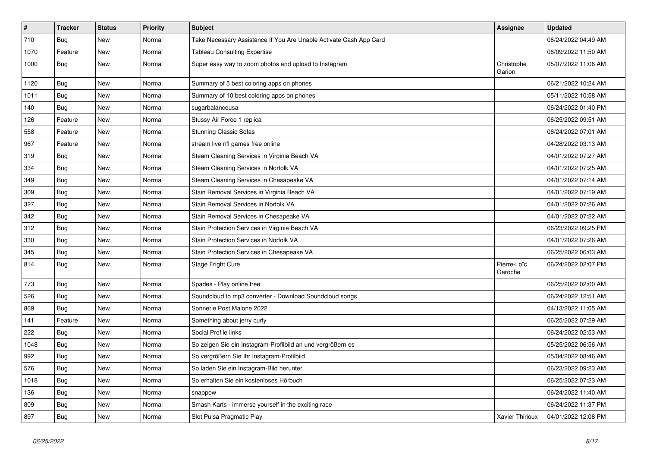| $\vert$ # | <b>Tracker</b> | <b>Status</b> | Priority | Subject                                                            | <b>Assignee</b>        | <b>Updated</b>      |
|-----------|----------------|---------------|----------|--------------------------------------------------------------------|------------------------|---------------------|
| 710       | Bug            | New           | Normal   | Take Necessary Assistance If You Are Unable Activate Cash App Card |                        | 06/24/2022 04:49 AM |
| 1070      | Feature        | New           | Normal   | <b>Tableau Consulting Expertise</b>                                |                        | 06/09/2022 11:50 AM |
| 1000      | <b>Bug</b>     | New           | Normal   | Super easy way to zoom photos and upload to Instagram              | Christophe<br>Garion   | 05/07/2022 11:06 AM |
| 1120      | Bug            | New           | Normal   | Summary of 5 best coloring apps on phones                          |                        | 06/21/2022 10:24 AM |
| 1011      | Bug            | New           | Normal   | Summary of 10 best coloring apps on phones                         |                        | 05/11/2022 10:58 AM |
| 140       | Bug            | New           | Normal   | sugarbalanceusa                                                    |                        | 06/24/2022 01:40 PM |
| 126       | Feature        | New           | Normal   | Stussy Air Force 1 replica                                         |                        | 06/25/2022 09:51 AM |
| 558       | Feature        | <b>New</b>    | Normal   | <b>Stunning Classic Sofas</b>                                      |                        | 06/24/2022 07:01 AM |
| 967       | Feature        | New           | Normal   | stream live nfl games free online                                  |                        | 04/28/2022 03:13 AM |
| 319       | Bug            | New           | Normal   | Steam Cleaning Services in Virginia Beach VA                       |                        | 04/01/2022 07:27 AM |
| 334       | Bug            | New           | Normal   | Steam Cleaning Services in Norfolk VA                              |                        | 04/01/2022 07:25 AM |
| 349       | Bug            | New           | Normal   | Steam Cleaning Services in Chesapeake VA                           |                        | 04/01/2022 07:14 AM |
| 309       | Bug            | New           | Normal   | Stain Removal Services in Virginia Beach VA                        |                        | 04/01/2022 07:19 AM |
| 327       | Bug            | New           | Normal   | Stain Removal Services in Norfolk VA                               |                        | 04/01/2022 07:26 AM |
| 342       | <b>Bug</b>     | New           | Normal   | Stain Removal Services in Chesapeake VA                            |                        | 04/01/2022 07:22 AM |
| 312       | Bug            | New           | Normal   | Stain Protection Services in Virginia Beach VA                     |                        | 06/23/2022 09:25 PM |
| 330       | Bug            | New           | Normal   | Stain Protection Services in Norfolk VA                            |                        | 04/01/2022 07:26 AM |
| 345       | Bug            | New           | Normal   | Stain Protection Services in Chesapeake VA                         |                        | 06/25/2022 06:03 AM |
| 814       | Bug            | New           | Normal   | Stage Fright Cure                                                  | Pierre-Loïc<br>Garoche | 06/24/2022 02:07 PM |
| 773       | <b>Bug</b>     | New           | Normal   | Spades - Play online free                                          |                        | 06/25/2022 02:00 AM |
| 526       | <b>Bug</b>     | New           | Normal   | Soundcloud to mp3 converter - Download Soundcloud songs            |                        | 06/24/2022 12:51 AM |
| 869       | <b>Bug</b>     | New           | Normal   | Sonnerie Post Malone 2022                                          |                        | 04/13/2022 11:05 AM |
| 141       | Feature        | <b>New</b>    | Normal   | Something about jerry curly                                        |                        | 06/25/2022 07:29 AM |
| 222       | Bug            | New           | Normal   | Social Profile links                                               |                        | 06/24/2022 02:53 AM |
| 1048      | Bug            | New           | Normal   | So zeigen Sie ein Instagram-Profilbild an und vergrößern es        |                        | 05/25/2022 06:56 AM |
| 992       | <b>Bug</b>     | New           | Normal   | So vergrößern Sie Ihr Instagram-Profilbild                         |                        | 05/04/2022 08:46 AM |
| 576       | Bug            | New           | Normal   | So laden Sie ein Instagram-Bild herunter                           |                        | 06/23/2022 09:23 AM |
| 1018      | Bug            | <b>New</b>    | Normal   | So erhalten Sie ein kostenloses Hörbuch                            |                        | 06/25/2022 07:23 AM |
| 136       | Bug            | New           | Normal   | snappow                                                            |                        | 06/24/2022 11:40 AM |
| 809       | Bug            | <b>New</b>    | Normal   | Smash Karts - immerse yourself in the exciting race                |                        | 06/24/2022 11:37 PM |
| 897       | Bug            | New           | Normal   | Slot Pulsa Pragmatic Play                                          | Xavier Thirioux        | 04/01/2022 12:08 PM |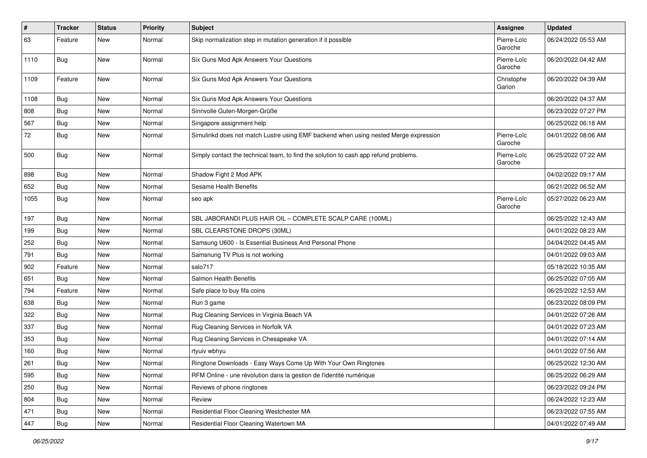| #    | <b>Tracker</b> | <b>Status</b> | <b>Priority</b> | <b>Subject</b>                                                                       | <b>Assignee</b>        | <b>Updated</b>      |
|------|----------------|---------------|-----------------|--------------------------------------------------------------------------------------|------------------------|---------------------|
| 63   | Feature        | New           | Normal          | Skip normalization step in mutation generation if it possible                        | Pierre-Loïc<br>Garoche | 06/24/2022 05:53 AM |
| 1110 | <b>Bug</b>     | New           | Normal          | Six Guns Mod Apk Answers Your Questions                                              | Pierre-Loïc<br>Garoche | 06/20/2022 04:42 AM |
| 1109 | Feature        | New           | Normal          | Six Guns Mod Apk Answers Your Questions                                              | Christophe<br>Garion   | 06/20/2022 04:39 AM |
| 1108 | Bug            | New           | Normal          | Six Guns Mod Apk Answers Your Questions                                              |                        | 06/20/2022 04:37 AM |
| 808  | Bug            | New           | Normal          | Sinnvolle Guten-Morgen-Grüße                                                         |                        | 06/23/2022 07:27 PM |
| 567  | <b>Bug</b>     | New           | Normal          | Singapore assignment help                                                            |                        | 06/25/2022 06:18 AM |
| 72   | <b>Bug</b>     | New           | Normal          | Simulinkd does not match Lustre using EMF backend when using nested Merge expression | Pierre-Loïc<br>Garoche | 04/01/2022 08:06 AM |
| 500  | <b>Bug</b>     | New           | Normal          | Simply contact the technical team, to find the solution to cash app refund problems. | Pierre-Loïc<br>Garoche | 06/25/2022 07:22 AM |
| 898  | <b>Bug</b>     | New           | Normal          | Shadow Fight 2 Mod APK                                                               |                        | 04/02/2022 09:17 AM |
| 652  | <b>Bug</b>     | New           | Normal          | Sesame Health Benefits                                                               |                        | 06/21/2022 06:52 AM |
| 1055 | <b>Bug</b>     | New           | Normal          | seo apk                                                                              | Pierre-Loïc<br>Garoche | 05/27/2022 06:23 AM |
| 197  | <b>Bug</b>     | New           | Normal          | SBL JABORANDI PLUS HAIR OIL - COMPLETE SCALP CARE (100ML)                            |                        | 06/25/2022 12:43 AM |
| 199  | Bug            | New           | Normal          | SBL CLEARSTONE DROPS (30ML)                                                          |                        | 04/01/2022 08:23 AM |
| 252  | Bug            | New           | Normal          | Samsung U600 - Is Essential Business And Personal Phone                              |                        | 04/04/2022 04:45 AM |
| 791  | <b>Bug</b>     | New           | Normal          | Samsnung TV Plus is not working                                                      |                        | 04/01/2022 09:03 AM |
| 902  | Feature        | New           | Normal          | salo717                                                                              |                        | 05/18/2022 10:35 AM |
| 651  | Bug            | New           | Normal          | Salmon Health Benefits                                                               |                        | 06/25/2022 07:05 AM |
| 794  | Feature        | New           | Normal          | Safe place to buy fifa coins                                                         |                        | 06/25/2022 12:53 AM |
| 638  | Bug            | New           | Normal          | Run 3 game                                                                           |                        | 06/23/2022 08:09 PM |
| 322  | Bug            | New           | Normal          | Rug Cleaning Services in Virginia Beach VA                                           |                        | 04/01/2022 07:26 AM |
| 337  | <b>Bug</b>     | New           | Normal          | Rug Cleaning Services in Norfolk VA                                                  |                        | 04/01/2022 07:23 AM |
| 353  | Bug            | New           | Normal          | Rug Cleaning Services in Chesapeake VA                                               |                        | 04/01/2022 07:14 AM |
| 160  | <b>Bug</b>     | New           | Normal          | rtyuiv wbhyu                                                                         |                        | 04/01/2022 07:56 AM |
| 261  | Bug            | New           | Normal          | Ringtone Downloads - Easy Ways Come Up With Your Own Ringtones                       |                        | 06/25/2022 12:30 AM |
| 595  | <b>Bug</b>     | New           | Normal          | RFM Online - une révolution dans la gestion de l'identité numérique                  |                        | 06/25/2022 06:29 AM |
| 250  | <b>Bug</b>     | New           | Normal          | Reviews of phone ringtones                                                           |                        | 06/23/2022 09:24 PM |
| 804  | <b>Bug</b>     | New           | Normal          | Review                                                                               |                        | 06/24/2022 12:23 AM |
| 471  | Bug            | New           | Normal          | Residential Floor Cleaning Westchester MA                                            |                        | 06/23/2022 07:55 AM |
| 447  | <b>Bug</b>     | New           | Normal          | Residential Floor Cleaning Watertown MA                                              |                        | 04/01/2022 07:49 AM |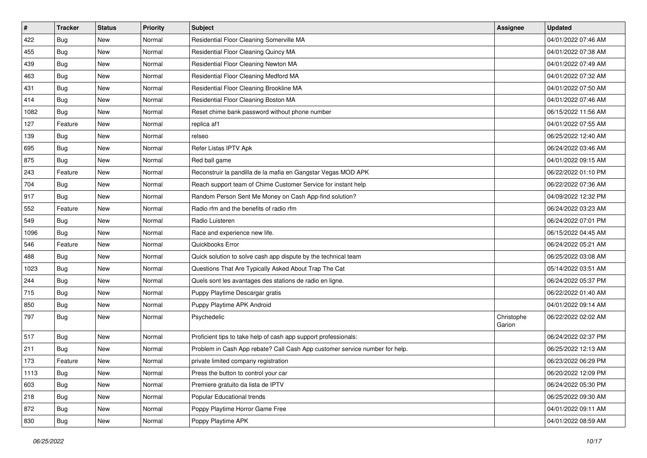| $\sharp$ | <b>Tracker</b> | <b>Status</b> | <b>Priority</b> | <b>Subject</b>                                                              | <b>Assignee</b>      | <b>Updated</b>      |
|----------|----------------|---------------|-----------------|-----------------------------------------------------------------------------|----------------------|---------------------|
| 422      | Bug            | New           | Normal          | Residential Floor Cleaning Somerville MA                                    |                      | 04/01/2022 07:46 AM |
| 455      | <b>Bug</b>     | <b>New</b>    | Normal          | Residential Floor Cleaning Quincy MA                                        |                      | 04/01/2022 07:38 AM |
| 439      | <b>Bug</b>     | New           | Normal          | Residential Floor Cleaning Newton MA                                        |                      | 04/01/2022 07:49 AM |
| 463      | <b>Bug</b>     | New           | Normal          | Residential Floor Cleaning Medford MA                                       |                      | 04/01/2022 07:32 AM |
| 431      | <b>Bug</b>     | New           | Normal          | Residential Floor Cleaning Brookline MA                                     |                      | 04/01/2022 07:50 AM |
| 414      | <b>Bug</b>     | New           | Normal          | Residential Floor Cleaning Boston MA                                        |                      | 04/01/2022 07:46 AM |
| 1082     | <b>Bug</b>     | New           | Normal          | Reset chime bank password without phone number                              |                      | 06/15/2022 11:56 AM |
| 127      | Feature        | New           | Normal          | replica af1                                                                 |                      | 04/01/2022 07:55 AM |
| 139      | <b>Bug</b>     | New           | Normal          | relseo                                                                      |                      | 06/25/2022 12:40 AM |
| 695      | <b>Bug</b>     | <b>New</b>    | Normal          | Refer Listas IPTV Apk                                                       |                      | 06/24/2022 03:46 AM |
| 875      | Bug            | New           | Normal          | Red ball game                                                               |                      | 04/01/2022 09:15 AM |
| 243      | Feature        | <b>New</b>    | Normal          | Reconstruir la pandilla de la mafia en Gangstar Vegas MOD APK               |                      | 06/22/2022 01:10 PM |
| 704      | <b>Bug</b>     | New           | Normal          | Reach support team of Chime Customer Service for instant help               |                      | 06/22/2022 07:36 AM |
| 917      | Bug            | New           | Normal          | Random Person Sent Me Money on Cash App-find solution?                      |                      | 04/09/2022 12:32 PM |
| 552      | Feature        | <b>New</b>    | Normal          | Radio rfm and the benefits of radio rfm                                     |                      | 06/24/2022 03:23 AM |
| 549      | <b>Bug</b>     | New           | Normal          | Radio Luisteren                                                             |                      | 06/24/2022 07:01 PM |
| 1096     | Bug            | <b>New</b>    | Normal          | Race and experience new life.                                               |                      | 06/15/2022 04:45 AM |
| 546      | Feature        | <b>New</b>    | Normal          | Quickbooks Error                                                            |                      | 06/24/2022 05:21 AM |
| 488      | Bug            | New           | Normal          | Quick solution to solve cash app dispute by the technical team              |                      | 06/25/2022 03:08 AM |
| 1023     | Bug            | <b>New</b>    | Normal          | Questions That Are Typically Asked About Trap The Cat                       |                      | 05/14/2022 03:51 AM |
| 244      | Bug            | New           | Normal          | Quels sont les avantages des stations de radio en ligne.                    |                      | 06/24/2022 05:37 PM |
| 715      | <b>Bug</b>     | New           | Normal          | Puppy Playtime Descargar gratis                                             |                      | 06/22/2022 01:40 AM |
| 850      | Bug            | New           | Normal          | Puppy Playtime APK Android                                                  |                      | 04/01/2022 09:14 AM |
| 797      | Bug            | New           | Normal          | Psychedelic                                                                 | Christophe<br>Garion | 06/22/2022 02:02 AM |
| 517      | Bug            | New           | Normal          | Proficient tips to take help of cash app support professionals:             |                      | 06/24/2022 02:37 PM |
| 211      | <b>Bug</b>     | <b>New</b>    | Normal          | Problem in Cash App rebate? Call Cash App customer service number for help. |                      | 06/25/2022 12:13 AM |
| 173      | Feature        | <b>New</b>    | Normal          | private limited company registration                                        |                      | 06/23/2022 06:29 PM |
| 1113     | <b>Bug</b>     | New           | Normal          | Press the button to control your car                                        |                      | 06/20/2022 12:09 PM |
| 603      | Bug            | New           | Normal          | Premiere gratuito da lista de IPTV                                          |                      | 06/24/2022 05:30 PM |
| 218      | Bug            | New           | Normal          | Popular Educational trends                                                  |                      | 06/25/2022 09:30 AM |
| 872      | <b>Bug</b>     | New           | Normal          | Poppy Playtime Horror Game Free                                             |                      | 04/01/2022 09:11 AM |
| 830      | <b>Bug</b>     | New           | Normal          | Poppy Playtime APK                                                          |                      | 04/01/2022 08:59 AM |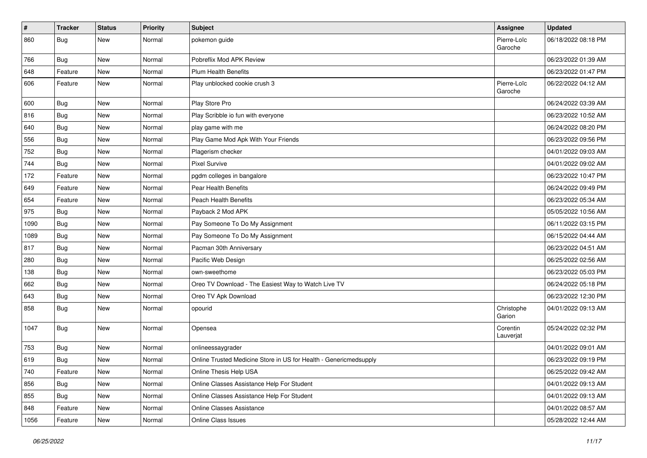| #    | <b>Tracker</b> | <b>Status</b> | Priority | Subject                                                           | <b>Assignee</b>        | <b>Updated</b>      |
|------|----------------|---------------|----------|-------------------------------------------------------------------|------------------------|---------------------|
| 860  | <b>Bug</b>     | New           | Normal   | pokemon guide                                                     | Pierre-Loïc<br>Garoche | 06/18/2022 08:18 PM |
| 766  | <b>Bug</b>     | New           | Normal   | Pobreflix Mod APK Review                                          |                        | 06/23/2022 01:39 AM |
| 648  | Feature        | New           | Normal   | <b>Plum Health Benefits</b>                                       |                        | 06/23/2022 01:47 PM |
| 606  | Feature        | New           | Normal   | Play unblocked cookie crush 3                                     | Pierre-Loïc<br>Garoche | 06/22/2022 04:12 AM |
| 600  | <b>Bug</b>     | New           | Normal   | Play Store Pro                                                    |                        | 06/24/2022 03:39 AM |
| 816  | <b>Bug</b>     | New           | Normal   | Play Scribble io fun with everyone                                |                        | 06/23/2022 10:52 AM |
| 640  | <b>Bug</b>     | New           | Normal   | play game with me                                                 |                        | 06/24/2022 08:20 PM |
| 556  | Bug            | New           | Normal   | Play Game Mod Apk With Your Friends                               |                        | 06/23/2022 09:56 PM |
| 752  | <b>Bug</b>     | New           | Normal   | Plagerism checker                                                 |                        | 04/01/2022 09:03 AM |
| 744  | <b>Bug</b>     | New           | Normal   | <b>Pixel Survive</b>                                              |                        | 04/01/2022 09:02 AM |
| 172  | Feature        | New           | Normal   | pgdm colleges in bangalore                                        |                        | 06/23/2022 10:47 PM |
| 649  | Feature        | New           | Normal   | Pear Health Benefits                                              |                        | 06/24/2022 09:49 PM |
| 654  | Feature        | New           | Normal   | <b>Peach Health Benefits</b>                                      |                        | 06/23/2022 05:34 AM |
| 975  | <b>Bug</b>     | New           | Normal   | Payback 2 Mod APK                                                 |                        | 05/05/2022 10:56 AM |
| 1090 | <b>Bug</b>     | New           | Normal   | Pay Someone To Do My Assignment                                   |                        | 06/11/2022 03:15 PM |
| 1089 | <b>Bug</b>     | New           | Normal   | Pay Someone To Do My Assignment                                   |                        | 06/15/2022 04:44 AM |
| 817  | <b>Bug</b>     | New           | Normal   | Pacman 30th Anniversary                                           |                        | 06/23/2022 04:51 AM |
| 280  | <b>Bug</b>     | New           | Normal   | Pacific Web Design                                                |                        | 06/25/2022 02:56 AM |
| 138  | <b>Bug</b>     | New           | Normal   | own-sweethome                                                     |                        | 06/23/2022 05:03 PM |
| 662  | <b>Bug</b>     | New           | Normal   | Oreo TV Download - The Easiest Way to Watch Live TV               |                        | 06/24/2022 05:18 PM |
| 643  | Bug            | New           | Normal   | Oreo TV Apk Download                                              |                        | 06/23/2022 12:30 PM |
| 858  | <b>Bug</b>     | New           | Normal   | opourid                                                           | Christophe<br>Garion   | 04/01/2022 09:13 AM |
| 1047 | <b>Bug</b>     | New           | Normal   | Opensea                                                           | Corentin<br>Lauverjat  | 05/24/2022 02:32 PM |
| 753  | <b>Bug</b>     | New           | Normal   | onlineessaygrader                                                 |                        | 04/01/2022 09:01 AM |
| 619  | <b>Bug</b>     | New           | Normal   | Online Trusted Medicine Store in US for Health - Genericmedsupply |                        | 06/23/2022 09:19 PM |
| 740  | Feature        | New           | Normal   | Online Thesis Help USA                                            |                        | 06/25/2022 09:42 AM |
| 856  | Bug            | New           | Normal   | Online Classes Assistance Help For Student                        |                        | 04/01/2022 09:13 AM |
| 855  | <b>Bug</b>     | New           | Normal   | Online Classes Assistance Help For Student                        |                        | 04/01/2022 09:13 AM |
| 848  | Feature        | New           | Normal   | Online Classes Assistance                                         |                        | 04/01/2022 08:57 AM |
| 1056 | Feature        | New           | Normal   | Online Class Issues                                               |                        | 05/28/2022 12:44 AM |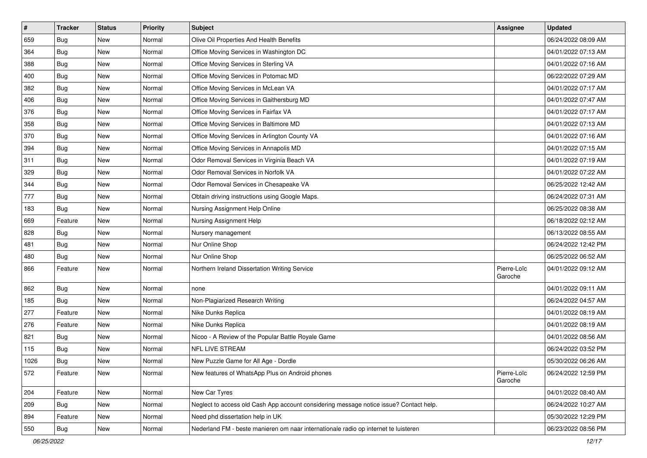| $\sharp$ | <b>Tracker</b> | <b>Status</b> | <b>Priority</b> | Subject                                                                                | <b>Assignee</b>        | <b>Updated</b>      |
|----------|----------------|---------------|-----------------|----------------------------------------------------------------------------------------|------------------------|---------------------|
| 659      | <b>Bug</b>     | New           | Normal          | Olive Oil Properties And Health Benefits                                               |                        | 06/24/2022 08:09 AM |
| 364      | Bug            | New           | Normal          | Office Moving Services in Washington DC                                                |                        | 04/01/2022 07:13 AM |
| 388      | Bug            | New           | Normal          | Office Moving Services in Sterling VA                                                  |                        | 04/01/2022 07:16 AM |
| 400      | <b>Bug</b>     | New           | Normal          | Office Moving Services in Potomac MD                                                   |                        | 06/22/2022 07:29 AM |
| 382      | <b>Bug</b>     | <b>New</b>    | Normal          | Office Moving Services in McLean VA                                                    |                        | 04/01/2022 07:17 AM |
| 406      | <b>Bug</b>     | New           | Normal          | Office Moving Services in Gaithersburg MD                                              |                        | 04/01/2022 07:47 AM |
| 376      | <b>Bug</b>     | <b>New</b>    | Normal          | Office Moving Services in Fairfax VA                                                   |                        | 04/01/2022 07:17 AM |
| 358      | Bug            | New           | Normal          | Office Moving Services in Baltimore MD                                                 |                        | 04/01/2022 07:13 AM |
| 370      | <b>Bug</b>     | New           | Normal          | Office Moving Services in Arlington County VA                                          |                        | 04/01/2022 07:16 AM |
| 394      | Bug            | <b>New</b>    | Normal          | Office Moving Services in Annapolis MD                                                 |                        | 04/01/2022 07:15 AM |
| 311      | <b>Bug</b>     | New           | Normal          | Odor Removal Services in Virginia Beach VA                                             |                        | 04/01/2022 07:19 AM |
| 329      | <b>Bug</b>     | New           | Normal          | Odor Removal Services in Norfolk VA                                                    |                        | 04/01/2022 07:22 AM |
| 344      | <b>Bug</b>     | New           | Normal          | Odor Removal Services in Chesapeake VA                                                 |                        | 06/25/2022 12:42 AM |
| 777      | <b>Bug</b>     | <b>New</b>    | Normal          | Obtain driving instructions using Google Maps.                                         |                        | 06/24/2022 07:31 AM |
| 183      | <b>Bug</b>     | <b>New</b>    | Normal          | Nursing Assignment Help Online                                                         |                        | 06/25/2022 08:38 AM |
| 669      | Feature        | New           | Normal          | Nursing Assignment Help                                                                |                        | 06/18/2022 02:12 AM |
| 828      | <b>Bug</b>     | New           | Normal          | Nursery management                                                                     |                        | 06/13/2022 08:55 AM |
| 481      | <b>Bug</b>     | <b>New</b>    | Normal          | Nur Online Shop                                                                        |                        | 06/24/2022 12:42 PM |
| 480      | Bug            | <b>New</b>    | Normal          | Nur Online Shop                                                                        |                        | 06/25/2022 06:52 AM |
| 866      | Feature        | New           | Normal          | Northern Ireland Dissertation Writing Service                                          | Pierre-Loïc<br>Garoche | 04/01/2022 09:12 AM |
| 862      | Bug            | <b>New</b>    | Normal          | none                                                                                   |                        | 04/01/2022 09:11 AM |
| 185      | Bug            | <b>New</b>    | Normal          | Non-Plagiarized Research Writing                                                       |                        | 06/24/2022 04:57 AM |
| 277      | Feature        | New           | Normal          | Nike Dunks Replica                                                                     |                        | 04/01/2022 08:19 AM |
| 276      | Feature        | New           | Normal          | Nike Dunks Replica                                                                     |                        | 04/01/2022 08:19 AM |
| 821      | <b>Bug</b>     | New           | Normal          | Nicoo - A Review of the Popular Battle Royale Game                                     |                        | 04/01/2022 08:56 AM |
| 115      | <b>Bug</b>     | <b>New</b>    | Normal          | NFL LIVE STREAM                                                                        |                        | 06/24/2022 03:52 PM |
| 1026     | <b>Bug</b>     | New           | Normal          | New Puzzle Game for All Age - Dordle                                                   |                        | 05/30/2022 06:26 AM |
| 572      | Feature        | New           | Normal          | New features of WhatsApp Plus on Android phones                                        | Pierre-Loïc<br>Garoche | 06/24/2022 12:59 PM |
| 204      | Feature        | New           | Normal          | New Car Tyres                                                                          |                        | 04/01/2022 08:40 AM |
| 209      | <b>Bug</b>     | New           | Normal          | Neglect to access old Cash App account considering message notice issue? Contact help. |                        | 06/24/2022 10:27 AM |
| 894      | Feature        | New           | Normal          | Need phd dissertation help in UK                                                       |                        | 05/30/2022 12:29 PM |
| 550      | <b>Bug</b>     | New           | Normal          | Nederland FM - beste manieren om naar internationale radio op internet te luisteren    |                        | 06/23/2022 08:56 PM |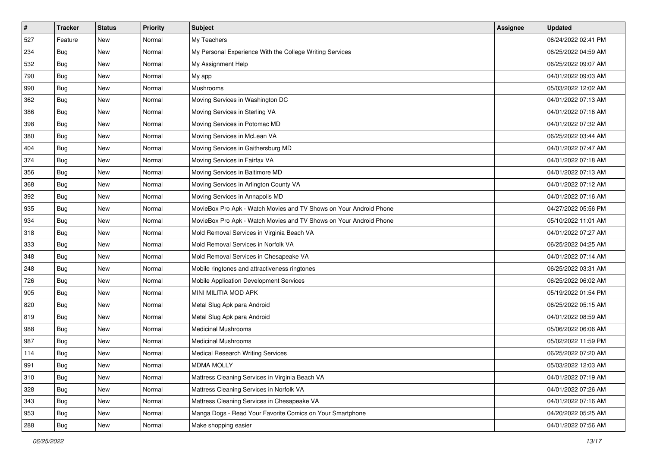| $\sharp$ | <b>Tracker</b> | <b>Status</b> | Priority | Subject                                                            | <b>Assignee</b> | <b>Updated</b>      |
|----------|----------------|---------------|----------|--------------------------------------------------------------------|-----------------|---------------------|
| 527      | Feature        | New           | Normal   | My Teachers                                                        |                 | 06/24/2022 02:41 PM |
| 234      | Bug            | <b>New</b>    | Normal   | My Personal Experience With the College Writing Services           |                 | 06/25/2022 04:59 AM |
| 532      | <b>Bug</b>     | New           | Normal   | My Assignment Help                                                 |                 | 06/25/2022 09:07 AM |
| 790      | Bug            | New           | Normal   | My app                                                             |                 | 04/01/2022 09:03 AM |
| 990      | <b>Bug</b>     | <b>New</b>    | Normal   | Mushrooms                                                          |                 | 05/03/2022 12:02 AM |
| 362      | <b>Bug</b>     | New           | Normal   | Moving Services in Washington DC                                   |                 | 04/01/2022 07:13 AM |
| 386      | <b>Bug</b>     | New           | Normal   | Moving Services in Sterling VA                                     |                 | 04/01/2022 07:16 AM |
| 398      | Bug            | New           | Normal   | Moving Services in Potomac MD                                      |                 | 04/01/2022 07:32 AM |
| 380      | <b>Bug</b>     | New           | Normal   | Moving Services in McLean VA                                       |                 | 06/25/2022 03:44 AM |
| 404      | <b>Bug</b>     | <b>New</b>    | Normal   | Moving Services in Gaithersburg MD                                 |                 | 04/01/2022 07:47 AM |
| 374      | Bug            | New           | Normal   | Moving Services in Fairfax VA                                      |                 | 04/01/2022 07:18 AM |
| 356      | <b>Bug</b>     | New           | Normal   | Moving Services in Baltimore MD                                    |                 | 04/01/2022 07:13 AM |
| 368      | <b>Bug</b>     | New           | Normal   | Moving Services in Arlington County VA                             |                 | 04/01/2022 07:12 AM |
| 392      | <b>Bug</b>     | New           | Normal   | Moving Services in Annapolis MD                                    |                 | 04/01/2022 07:16 AM |
| 935      | <b>Bug</b>     | New           | Normal   | MovieBox Pro Apk - Watch Movies and TV Shows on Your Android Phone |                 | 04/27/2022 05:56 PM |
| 934      | <b>Bug</b>     | New           | Normal   | MovieBox Pro Apk - Watch Movies and TV Shows on Your Android Phone |                 | 05/10/2022 11:01 AM |
| 318      | <b>Bug</b>     | New           | Normal   | Mold Removal Services in Virginia Beach VA                         |                 | 04/01/2022 07:27 AM |
| 333      | Bug            | <b>New</b>    | Normal   | Mold Removal Services in Norfolk VA                                |                 | 06/25/2022 04:25 AM |
| 348      | Bug            | New           | Normal   | Mold Removal Services in Chesapeake VA                             |                 | 04/01/2022 07:14 AM |
| 248      | <b>Bug</b>     | <b>New</b>    | Normal   | Mobile ringtones and attractiveness ringtones                      |                 | 06/25/2022 03:31 AM |
| 726      | Bug            | New           | Normal   | Mobile Application Development Services                            |                 | 06/25/2022 06:02 AM |
| 905      | <b>Bug</b>     | New           | Normal   | MINI MILITIA MOD APK                                               |                 | 05/19/2022 01:54 PM |
| 820      | <b>Bug</b>     | <b>New</b>    | Normal   | Metal Slug Apk para Android                                        |                 | 06/25/2022 05:15 AM |
| 819      | <b>Bug</b>     | New           | Normal   | Metal Slug Apk para Android                                        |                 | 04/01/2022 08:59 AM |
| 988      | <b>Bug</b>     | New           | Normal   | <b>Medicinal Mushrooms</b>                                         |                 | 05/06/2022 06:06 AM |
| 987      | <b>Bug</b>     | New           | Normal   | <b>Medicinal Mushrooms</b>                                         |                 | 05/02/2022 11:59 PM |
| 114      | Bug            | <b>New</b>    | Normal   | <b>Medical Research Writing Services</b>                           |                 | 06/25/2022 07:20 AM |
| 991      | <b>Bug</b>     | New           | Normal   | <b>MDMA MOLLY</b>                                                  |                 | 05/03/2022 12:03 AM |
| 310      | Bug            | New           | Normal   | Mattress Cleaning Services in Virginia Beach VA                    |                 | 04/01/2022 07:19 AM |
| 328      | <b>Bug</b>     | New           | Normal   | Mattress Cleaning Services in Norfolk VA                           |                 | 04/01/2022 07:26 AM |
| 343      | Bug            | New           | Normal   | Mattress Cleaning Services in Chesapeake VA                        |                 | 04/01/2022 07:16 AM |
| 953      | <b>Bug</b>     | New           | Normal   | Manga Dogs - Read Your Favorite Comics on Your Smartphone          |                 | 04/20/2022 05:25 AM |
| 288      | <b>Bug</b>     | New           | Normal   | Make shopping easier                                               |                 | 04/01/2022 07:56 AM |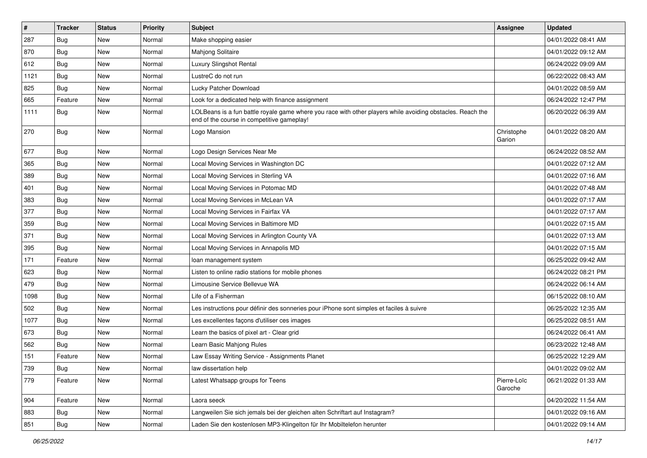| #    | <b>Tracker</b> | <b>Status</b> | <b>Priority</b> | <b>Subject</b>                                                                                                                                           | <b>Assignee</b>        | <b>Updated</b>      |
|------|----------------|---------------|-----------------|----------------------------------------------------------------------------------------------------------------------------------------------------------|------------------------|---------------------|
| 287  | Bug            | New           | Normal          | Make shopping easier                                                                                                                                     |                        | 04/01/2022 08:41 AM |
| 870  | Bug            | New           | Normal          | Mahjong Solitaire                                                                                                                                        |                        | 04/01/2022 09:12 AM |
| 612  | Bug            | New           | Normal          | Luxury Slingshot Rental                                                                                                                                  |                        | 06/24/2022 09:09 AM |
| 1121 | Bug            | New           | Normal          | LustreC do not run                                                                                                                                       |                        | 06/22/2022 08:43 AM |
| 825  | Bug            | <b>New</b>    | Normal          | Lucky Patcher Download                                                                                                                                   |                        | 04/01/2022 08:59 AM |
| 665  | Feature        | New           | Normal          | Look for a dedicated help with finance assignment                                                                                                        |                        | 06/24/2022 12:47 PM |
| 1111 | <b>Bug</b>     | New           | Normal          | LOLBeans is a fun battle royale game where you race with other players while avoiding obstacles. Reach the<br>end of the course in competitive gameplay! |                        | 06/20/2022 06:39 AM |
| 270  | <b>Bug</b>     | New           | Normal          | Logo Mansion                                                                                                                                             | Christophe<br>Garion   | 04/01/2022 08:20 AM |
| 677  | Bug            | New           | Normal          | Logo Design Services Near Me                                                                                                                             |                        | 06/24/2022 08:52 AM |
| 365  | Bug            | New           | Normal          | Local Moving Services in Washington DC                                                                                                                   |                        | 04/01/2022 07:12 AM |
| 389  | Bug            | <b>New</b>    | Normal          | Local Moving Services in Sterling VA                                                                                                                     |                        | 04/01/2022 07:16 AM |
| 401  | <b>Bug</b>     | New           | Normal          | Local Moving Services in Potomac MD                                                                                                                      |                        | 04/01/2022 07:48 AM |
| 383  | Bug            | <b>New</b>    | Normal          | Local Moving Services in McLean VA                                                                                                                       |                        | 04/01/2022 07:17 AM |
| 377  | Bug            | New           | Normal          | Local Moving Services in Fairfax VA                                                                                                                      |                        | 04/01/2022 07:17 AM |
| 359  | Bug            | New           | Normal          | Local Moving Services in Baltimore MD                                                                                                                    |                        | 04/01/2022 07:15 AM |
| 371  | Bug            | New           | Normal          | Local Moving Services in Arlington County VA                                                                                                             |                        | 04/01/2022 07:13 AM |
| 395  | Bug            | New           | Normal          | Local Moving Services in Annapolis MD                                                                                                                    |                        | 04/01/2022 07:15 AM |
| 171  | Feature        | New           | Normal          | loan management system                                                                                                                                   |                        | 06/25/2022 09:42 AM |
| 623  | Bug            | New           | Normal          | Listen to online radio stations for mobile phones                                                                                                        |                        | 06/24/2022 08:21 PM |
| 479  | Bug            | New           | Normal          | Limousine Service Bellevue WA                                                                                                                            |                        | 06/24/2022 06:14 AM |
| 1098 | Bug            | New           | Normal          | Life of a Fisherman                                                                                                                                      |                        | 06/15/2022 08:10 AM |
| 502  | <b>Bug</b>     | New           | Normal          | Les instructions pour définir des sonneries pour iPhone sont simples et faciles à suivre                                                                 |                        | 06/25/2022 12:35 AM |
| 1077 | Bug            | New           | Normal          | Les excellentes façons d'utiliser ces images                                                                                                             |                        | 06/25/2022 08:51 AM |
| 673  | Bug            | New           | Normal          | Learn the basics of pixel art - Clear grid                                                                                                               |                        | 06/24/2022 06:41 AM |
| 562  | Bug            | New           | Normal          | Learn Basic Mahjong Rules                                                                                                                                |                        | 06/23/2022 12:48 AM |
| 151  | Feature        | New           | Normal          | Law Essay Writing Service - Assignments Planet                                                                                                           |                        | 06/25/2022 12:29 AM |
| 739  | <b>Bug</b>     | New           | Normal          | law dissertation help                                                                                                                                    |                        | 04/01/2022 09:02 AM |
| 779  | Feature        | New           | Normal          | Latest Whatsapp groups for Teens                                                                                                                         | Pierre-Loïc<br>Garoche | 06/21/2022 01:33 AM |
| 904  | Feature        | New           | Normal          | Laora seeck                                                                                                                                              |                        | 04/20/2022 11:54 AM |
| 883  | Bug            | New           | Normal          | Langweilen Sie sich jemals bei der gleichen alten Schriftart auf Instagram?                                                                              |                        | 04/01/2022 09:16 AM |
| 851  | <b>Bug</b>     | New           | Normal          | Laden Sie den kostenlosen MP3-Klingelton für Ihr Mobiltelefon herunter                                                                                   |                        | 04/01/2022 09:14 AM |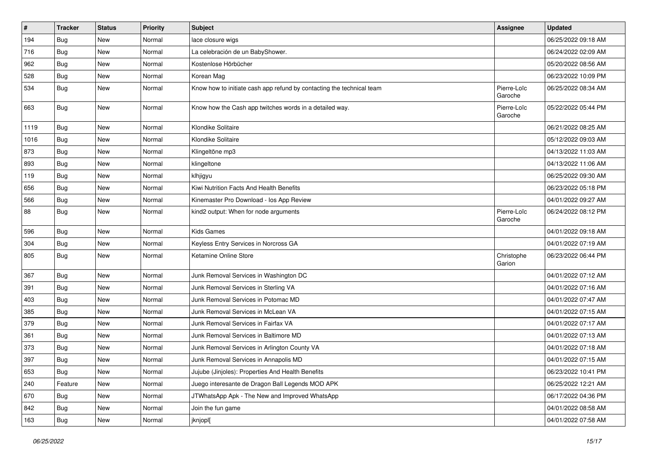| #    | <b>Tracker</b> | <b>Status</b> | Priority | <b>Subject</b>                                                        | <b>Assignee</b>        | <b>Updated</b>      |
|------|----------------|---------------|----------|-----------------------------------------------------------------------|------------------------|---------------------|
| 194  | <b>Bug</b>     | New           | Normal   | lace closure wigs                                                     |                        | 06/25/2022 09:18 AM |
| 716  | Bug            | New           | Normal   | La celebración de un BabyShower.                                      |                        | 06/24/2022 02:09 AM |
| 962  | <b>Bug</b>     | New           | Normal   | Kostenlose Hörbücher                                                  |                        | 05/20/2022 08:56 AM |
| 528  | <b>Bug</b>     | New           | Normal   | Korean Mag                                                            |                        | 06/23/2022 10:09 PM |
| 534  | <b>Bug</b>     | New           | Normal   | Know how to initiate cash app refund by contacting the technical team | Pierre-Loïc<br>Garoche | 06/25/2022 08:34 AM |
| 663  | <b>Bug</b>     | <b>New</b>    | Normal   | Know how the Cash app twitches words in a detailed way.               | Pierre-Loïc<br>Garoche | 05/22/2022 05:44 PM |
| 1119 | <b>Bug</b>     | New           | Normal   | Klondike Solitaire                                                    |                        | 06/21/2022 08:25 AM |
| 1016 | Bug            | New           | Normal   | Klondike Solitaire                                                    |                        | 05/12/2022 09:03 AM |
| 873  | <b>Bug</b>     | New           | Normal   | Klingeltöne mp3                                                       |                        | 04/13/2022 11:03 AM |
| 893  | <b>Bug</b>     | New           | Normal   | klingeltone                                                           |                        | 04/13/2022 11:06 AM |
| 119  | <b>Bug</b>     | New           | Normal   | klhjigyu                                                              |                        | 06/25/2022 09:30 AM |
| 656  | <b>Bug</b>     | New           | Normal   | Kiwi Nutrition Facts And Health Benefits                              |                        | 06/23/2022 05:18 PM |
| 566  | <b>Bug</b>     | <b>New</b>    | Normal   | Kinemaster Pro Download - los App Review                              |                        | 04/01/2022 09:27 AM |
| 88   | <b>Bug</b>     | New           | Normal   | kind2 output: When for node arguments                                 | Pierre-Loïc<br>Garoche | 06/24/2022 08:12 PM |
| 596  | Bug            | New           | Normal   | Kids Games                                                            |                        | 04/01/2022 09:18 AM |
| 304  | <b>Bug</b>     | New           | Normal   | Keyless Entry Services in Norcross GA                                 |                        | 04/01/2022 07:19 AM |
| 805  | <b>Bug</b>     | New           | Normal   | Ketamine Online Store                                                 | Christophe<br>Garion   | 06/23/2022 06:44 PM |
| 367  | <b>Bug</b>     | New           | Normal   | Junk Removal Services in Washington DC                                |                        | 04/01/2022 07:12 AM |
| 391  | <b>Bug</b>     | New           | Normal   | Junk Removal Services in Sterling VA                                  |                        | 04/01/2022 07:16 AM |
| 403  | <b>Bug</b>     | New           | Normal   | Junk Removal Services in Potomac MD                                   |                        | 04/01/2022 07:47 AM |
| 385  | <b>Bug</b>     | New           | Normal   | Junk Removal Services in McLean VA                                    |                        | 04/01/2022 07:15 AM |
| 379  | <b>Bug</b>     | New           | Normal   | Junk Removal Services in Fairfax VA                                   |                        | 04/01/2022 07:17 AM |
| 361  | <b>Bug</b>     | New           | Normal   | Junk Removal Services in Baltimore MD                                 |                        | 04/01/2022 07:13 AM |
| 373  | <b>Bug</b>     | New           | Normal   | Junk Removal Services in Arlington County VA                          |                        | 04/01/2022 07:18 AM |
| 397  | <b>Bug</b>     | New           | Normal   | Junk Removal Services in Annapolis MD                                 |                        | 04/01/2022 07:15 AM |
| 653  | <b>Bug</b>     | New           | Normal   | Jujube (Jinjoles): Properties And Health Benefits                     |                        | 06/23/2022 10:41 PM |
| 240  | Feature        | New           | Normal   | Juego interesante de Dragon Ball Legends MOD APK                      |                        | 06/25/2022 12:21 AM |
| 670  | <b>Bug</b>     | New           | Normal   | JTWhatsApp Apk - The New and Improved WhatsApp                        |                        | 06/17/2022 04:36 PM |
| 842  | <b>Bug</b>     | New           | Normal   | Join the fun game                                                     |                        | 04/01/2022 08:58 AM |
| 163  | <b>Bug</b>     | New           | Normal   | jknjopl[                                                              |                        | 04/01/2022 07:58 AM |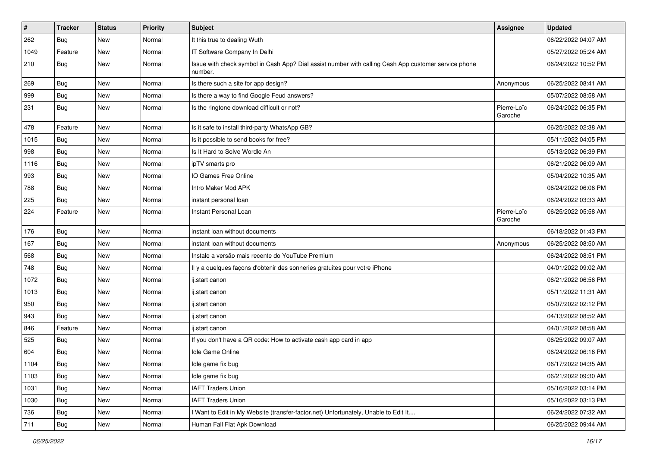| #    | <b>Tracker</b> | <b>Status</b> | Priority | <b>Subject</b>                                                                                                  | <b>Assignee</b>        | <b>Updated</b>      |
|------|----------------|---------------|----------|-----------------------------------------------------------------------------------------------------------------|------------------------|---------------------|
| 262  | Bug            | New           | Normal   | It this true to dealing Wuth                                                                                    |                        | 06/22/2022 04:07 AM |
| 1049 | Feature        | New           | Normal   | IT Software Company In Delhi                                                                                    |                        | 05/27/2022 05:24 AM |
| 210  | <b>Bug</b>     | New           | Normal   | Issue with check symbol in Cash App? Dial assist number with calling Cash App customer service phone<br>number. |                        | 06/24/2022 10:52 PM |
| 269  | Bug            | New           | Normal   | Is there such a site for app design?                                                                            | Anonymous              | 06/25/2022 08:41 AM |
| 999  | <b>Bug</b>     | New           | Normal   | Is there a way to find Google Feud answers?                                                                     |                        | 05/07/2022 08:58 AM |
| 231  | <b>Bug</b>     | New           | Normal   | Is the ringtone download difficult or not?                                                                      | Pierre-Loïc<br>Garoche | 06/24/2022 06:35 PM |
| 478  | Feature        | New           | Normal   | Is it safe to install third-party WhatsApp GB?                                                                  |                        | 06/25/2022 02:38 AM |
| 1015 | Bug            | New           | Normal   | Is it possible to send books for free?                                                                          |                        | 05/11/2022 04:05 PM |
| 998  | <b>Bug</b>     | New           | Normal   | Is It Hard to Solve Wordle An                                                                                   |                        | 05/13/2022 06:39 PM |
| 1116 | <b>Bug</b>     | New           | Normal   | ipTV smarts pro                                                                                                 |                        | 06/21/2022 06:09 AM |
| 993  | Bug            | New           | Normal   | IO Games Free Online                                                                                            |                        | 05/04/2022 10:35 AM |
| 788  | <b>Bug</b>     | New           | Normal   | Intro Maker Mod APK                                                                                             |                        | 06/24/2022 06:06 PM |
| 225  | <b>Bug</b>     | New           | Normal   | instant personal loan                                                                                           |                        | 06/24/2022 03:33 AM |
| 224  | Feature        | New           | Normal   | Instant Personal Loan                                                                                           | Pierre-Loïc<br>Garoche | 06/25/2022 05:58 AM |
| 176  | Bug            | New           | Normal   | instant loan without documents                                                                                  |                        | 06/18/2022 01:43 PM |
| 167  | <b>Bug</b>     | New           | Normal   | instant loan without documents                                                                                  | Anonymous              | 06/25/2022 08:50 AM |
| 568  | Bug            | New           | Normal   | Instale a versão mais recente do YouTube Premium                                                                |                        | 06/24/2022 08:51 PM |
| 748  | Bug            | New           | Normal   | Il y a quelques façons d'obtenir des sonneries gratuites pour votre iPhone                                      |                        | 04/01/2022 09:02 AM |
| 1072 | <b>Bug</b>     | New           | Normal   | ij.start canon                                                                                                  |                        | 06/21/2022 06:56 PM |
| 1013 | Bug            | New           | Normal   | ij.start canon                                                                                                  |                        | 05/11/2022 11:31 AM |
| 950  | Bug            | New           | Normal   | ij.start canon                                                                                                  |                        | 05/07/2022 02:12 PM |
| 943  | Bug            | New           | Normal   | ij.start canon                                                                                                  |                        | 04/13/2022 08:52 AM |
| 846  | Feature        | New           | Normal   | ij.start canon                                                                                                  |                        | 04/01/2022 08:58 AM |
| 525  | Bug            | New           | Normal   | If you don't have a QR code: How to activate cash app card in app                                               |                        | 06/25/2022 09:07 AM |
| 604  | <b>Bug</b>     | New           | Normal   | Idle Game Online                                                                                                |                        | 06/24/2022 06:16 PM |
| 1104 | Bug            | New           | Normal   | Idle game fix bug                                                                                               |                        | 06/17/2022 04:35 AM |
| 1103 | <b>Bug</b>     | New           | Normal   | Idle game fix bug                                                                                               |                        | 06/21/2022 09:30 AM |
| 1031 | <b>Bug</b>     | New           | Normal   | <b>IAFT Traders Union</b>                                                                                       |                        | 05/16/2022 03:14 PM |
| 1030 | <b>Bug</b>     | New           | Normal   | <b>IAFT Traders Union</b>                                                                                       |                        | 05/16/2022 03:13 PM |
| 736  | <b>Bug</b>     | New           | Normal   | I Want to Edit in My Website (transfer-factor.net) Unfortunately, Unable to Edit It                             |                        | 06/24/2022 07:32 AM |
| 711  | <b>Bug</b>     | New           | Normal   | Human Fall Flat Apk Download                                                                                    |                        | 06/25/2022 09:44 AM |